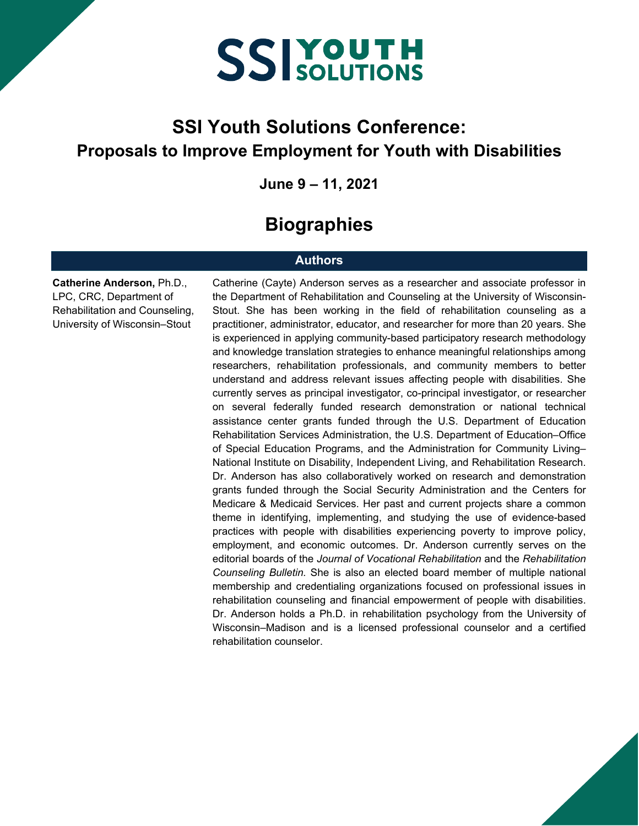#### **SSI Youth Solutions Conference: Proposals to Improve Employment for Youth with Disabilities**

**June 9 – 11, 2021**

#### **Biographies**

#### **Authors**

**Catherine Anderson,** Ph.D., LPC, CRC, Department of Rehabilitation and Counseling, University of Wisconsin–Stout

Catherine (Cayte) Anderson serves as a researcher and associate professor in the Department of Rehabilitation and Counseling at the University of Wisconsin-Stout. She has been working in the field of rehabilitation counseling as a practitioner, administrator, educator, and researcher for more than 20 years. She is experienced in applying community-based participatory research methodology and knowledge translation strategies to enhance meaningful relationships among researchers, rehabilitation professionals, and community members to better understand and address relevant issues affecting people with disabilities. She currently serves as principal investigator, co-principal investigator, or researcher on several federally funded research demonstration or national technical assistance center grants funded through the U.S. Department of Education Rehabilitation Services Administration, the U.S. Department of Education–Office of Special Education Programs, and the Administration for Community Living– National Institute on Disability, Independent Living, and Rehabilitation Research. Dr. Anderson has also collaboratively worked on research and demonstration grants funded through the Social Security Administration and the Centers for Medicare & Medicaid Services. Her past and current projects share a common theme in identifying, implementing, and studying the use of evidence-based practices with people with disabilities experiencing poverty to improve policy, employment, and economic outcomes. Dr. Anderson currently serves on the editorial boards of the *Journal of Vocational Rehabilitation* and the *Rehabilitation Counseling Bulletin.* She is also an elected board member of multiple national membership and credentialing organizations focused on professional issues in rehabilitation counseling and financial empowerment of people with disabilities. Dr. Anderson holds a Ph.D. in rehabilitation psychology from the University of Wisconsin–Madison and is a licensed professional counselor and a certified rehabilitation counselor.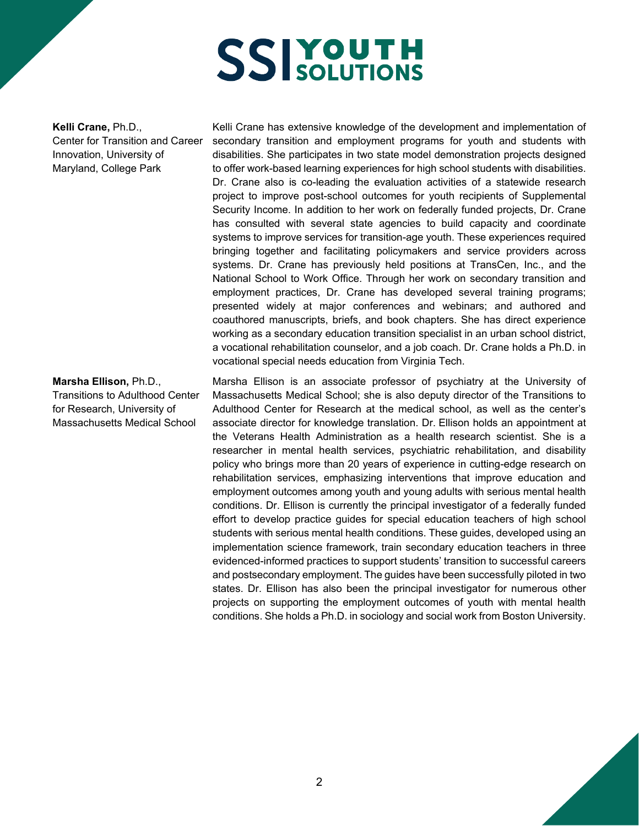**Kelli Crane,** Ph.D., Center for Transition and Career Innovation, University of Maryland, College Park

#### **Marsha Ellison,** Ph.D., Transitions to Adulthood Center for Research, University of Massachusetts Medical School

Kelli Crane has extensive knowledge of the development and implementation of secondary transition and employment programs for youth and students with disabilities. She participates in two state model demonstration projects designed to offer work-based learning experiences for high school students with disabilities. Dr. Crane also is co-leading the evaluation activities of a statewide research project to improve post-school outcomes for youth recipients of Supplemental Security Income. In addition to her work on federally funded projects, Dr. Crane has consulted with several state agencies to build capacity and coordinate systems to improve services for transition-age youth. These experiences required bringing together and facilitating policymakers and service providers across systems. Dr. Crane has previously held positions at TransCen, Inc., and the National School to Work Office. Through her work on secondary transition and employment practices, Dr. Crane has developed several training programs; presented widely at major conferences and webinars; and authored and coauthored manuscripts, briefs, and book chapters. She has direct experience working as a secondary education transition specialist in an urban school district, a vocational rehabilitation counselor, and a job coach. Dr. Crane holds a Ph.D. in vocational special needs education from Virginia Tech.

Marsha Ellison is an associate professor of psychiatry at the University of Massachusetts Medical School; she is also deputy director of the Transitions to Adulthood Center for Research at the medical school, as well as the center's associate director for knowledge translation. Dr. Ellison holds an appointment at the Veterans Health Administration as a health research scientist. She is a researcher in mental health services, psychiatric rehabilitation, and disability policy who brings more than 20 years of experience in cutting-edge research on rehabilitation services, emphasizing interventions that improve education and employment outcomes among youth and young adults with serious mental health conditions. Dr. Ellison is currently the principal investigator of a federally funded effort to develop practice guides for special education teachers of high school students with serious mental health conditions. These guides, developed using an implementation science framework, train secondary education teachers in three evidenced-informed practices to support students' transition to successful careers and postsecondary employment. The guides have been successfully piloted in two states. Dr. Ellison has also been the principal investigator for numerous other projects on supporting the employment outcomes of youth with mental health conditions. She holds a Ph.D. in sociology and social work from Boston University.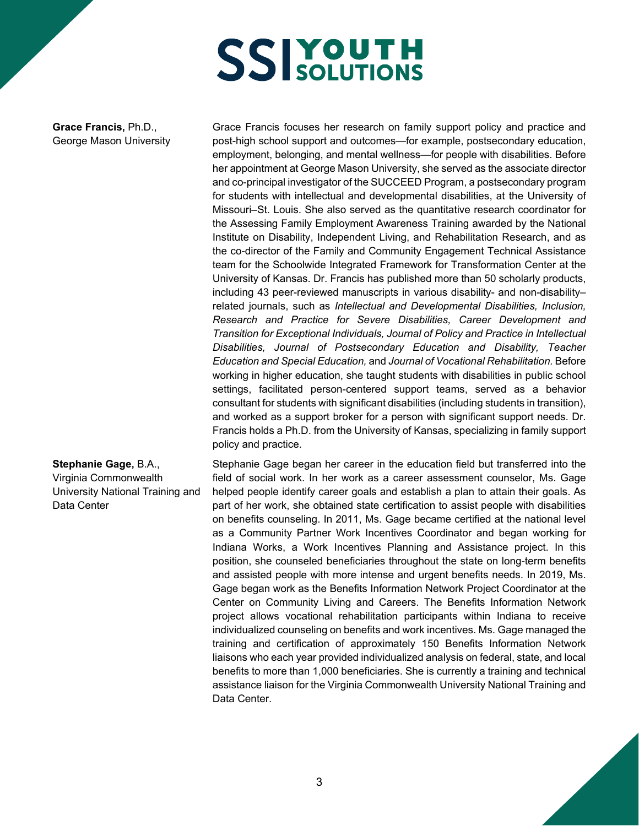**Grace Francis,** Ph.D., George Mason University

post-high school support and outcomes—for example, postsecondary education, employment, belonging, and mental wellness—for people with disabilities. Before her appointment at George Mason University, she served as the associate director and co-principal investigator of the SUCCEED Program, a postsecondary program for students with intellectual and developmental disabilities, at the University of Missouri–St. Louis. She also served as the quantitative research coordinator for the Assessing Family Employment Awareness Training awarded by the National Institute on Disability, Independent Living, and Rehabilitation Research, and as the co-director of the Family and Community Engagement Technical Assistance team for the Schoolwide Integrated Framework for Transformation Center at the University of Kansas. Dr. Francis has published more than 50 scholarly products, including 43 peer-reviewed manuscripts in various disability- and non-disability– related journals, such as *Intellectual and Developmental Disabilities, Inclusion, Research and Practice for Severe Disabilities, Career Development and Transition for Exceptional Individuals, Journal of Policy and Practice in Intellectual Disabilities, Journal of Postsecondary Education and Disability, Teacher Education and Special Education,* and *Journal of Vocational Rehabilitation.* Before working in higher education, she taught students with disabilities in public school settings, facilitated person-centered support teams, served as a behavior consultant for students with significant disabilities (including students in transition), and worked as a support broker for a person with significant support needs. Dr. Francis holds a Ph.D. from the University of Kansas, specializing in family support policy and practice.

Grace Francis focuses her research on family support policy and practice and

**Stephanie Gage,** B.A., Virginia Commonwealth University National Training and Data Center

Stephanie Gage began her career in the education field but transferred into the field of social work. In her work as a career assessment counselor, Ms. Gage helped people identify career goals and establish a plan to attain their goals. As part of her work, she obtained state certification to assist people with disabilities on benefits counseling. In 2011, Ms. Gage became certified at the national level as a Community Partner Work Incentives Coordinator and began working for Indiana Works, a Work Incentives Planning and Assistance project. In this position, she counseled beneficiaries throughout the state on long-term benefits and assisted people with more intense and urgent benefits needs. In 2019, Ms. Gage began work as the Benefits Information Network Project Coordinator at the Center on Community Living and Careers. The Benefits Information Network project allows vocational rehabilitation participants within Indiana to receive individualized counseling on benefits and work incentives. Ms. Gage managed the training and certification of approximately 150 Benefits Information Network liaisons who each year provided individualized analysis on federal, state, and local benefits to more than 1,000 beneficiaries. She is currently a training and technical assistance liaison for the Virginia Commonwealth University National Training and Data Center.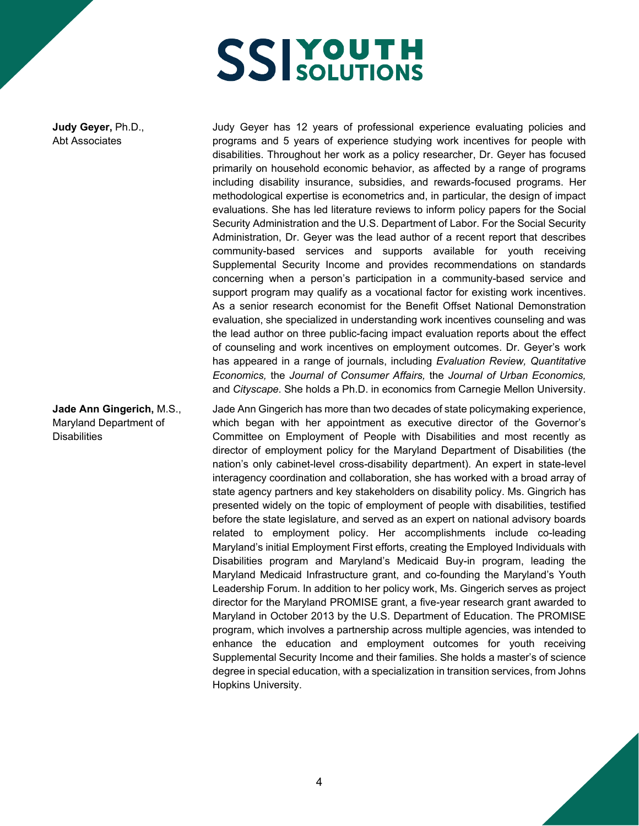**Judy Geyer,** Ph.D., Abt Associates

**Jade Ann Gingerich,** M.S., Maryland Department of **Disabilities** 

Judy Geyer has 12 years of professional experience evaluating policies and programs and 5 years of experience studying work incentives for people with disabilities. Throughout her work as a policy researcher, Dr. Geyer has focused primarily on household economic behavior, as affected by a range of programs including disability insurance, subsidies, and rewards-focused programs. Her methodological expertise is econometrics and, in particular, the design of impact evaluations. She has led literature reviews to inform policy papers for the Social Security Administration and the U.S. Department of Labor. For the Social Security Administration, Dr. Geyer was the lead author of a recent report that describes community-based services and supports available for youth receiving Supplemental Security Income and provides recommendations on standards concerning when a person's participation in a community-based service and support program may qualify as a vocational factor for existing work incentives. As a senior research economist for the Benefit Offset National Demonstration evaluation, she specialized in understanding work incentives counseling and was the lead author on three public-facing impact evaluation reports about the effect of counseling and work incentives on employment outcomes. Dr. Geyer's work has appeared in a range of journals, including *Evaluation Review, Quantitative Economics,* the *Journal of Consumer Affairs,* the *Journal of Urban Economics,* and *Cityscape.* She holds a Ph.D. in economics from Carnegie Mellon University.

Jade Ann Gingerich has more than two decades of state policymaking experience, which began with her appointment as executive director of the Governor's Committee on Employment of People with Disabilities and most recently as director of employment policy for the Maryland Department of Disabilities (the nation's only cabinet-level cross-disability department). An expert in state-level interagency coordination and collaboration, she has worked with a broad array of state agency partners and key stakeholders on disability policy. Ms. Gingrich has presented widely on the topic of employment of people with disabilities, testified before the state legislature, and served as an expert on national advisory boards related to employment policy. Her accomplishments include co-leading Maryland's initial Employment First efforts, creating the Employed Individuals with Disabilities program and Maryland's Medicaid Buy-in program, leading the Maryland Medicaid Infrastructure grant, and co-founding the Maryland's Youth Leadership Forum. In addition to her policy work, Ms. Gingerich serves as project director for the Maryland PROMISE grant, a five-year research grant awarded to Maryland in October 2013 by the U.S. Department of Education. The PROMISE program, which involves a partnership across multiple agencies, was intended to enhance the education and employment outcomes for youth receiving Supplemental Security Income and their families. She holds a master's of science degree in special education, with a specialization in transition services, from Johns Hopkins University.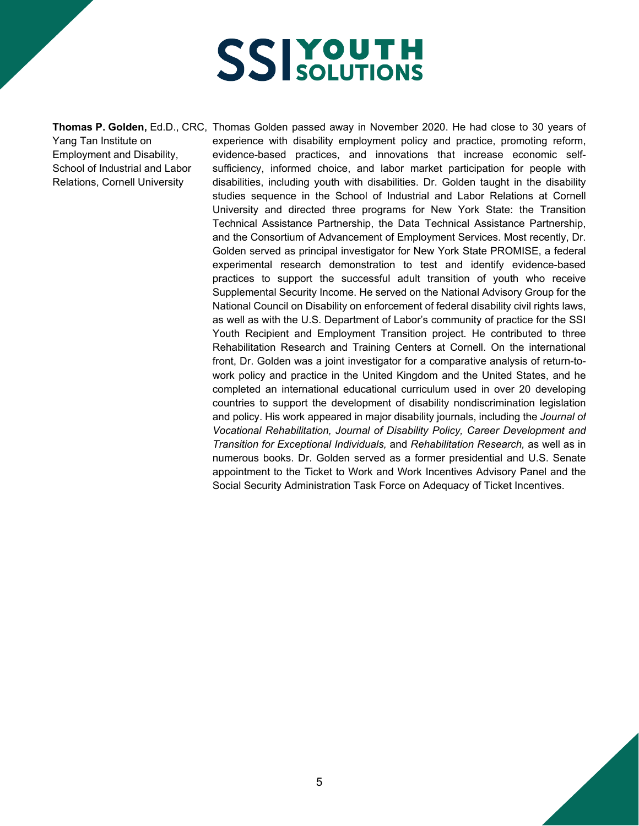Yang Tan Institute on Employment and Disability, School of Industrial and Labor Relations, Cornell University

**Thomas P. Golden,** Ed.D., CRC, Thomas Golden passed away in November 2020. He had close to 30 years of experience with disability employment policy and practice, promoting reform, evidence-based practices, and innovations that increase economic selfsufficiency, informed choice, and labor market participation for people with disabilities, including youth with disabilities. Dr. Golden taught in the disability studies sequence in the School of Industrial and Labor Relations at Cornell University and directed three programs for New York State: the Transition Technical Assistance Partnership, the Data Technical Assistance Partnership, and the Consortium of Advancement of Employment Services. Most recently, Dr. Golden served as principal investigator for New York State PROMISE, a federal experimental research demonstration to test and identify evidence-based practices to support the successful adult transition of youth who receive Supplemental Security Income. He served on the National Advisory Group for the National Council on Disability on enforcement of federal disability civil rights laws, as well as with the U.S. Department of Labor's community of practice for the SSI Youth Recipient and Employment Transition project. He contributed to three Rehabilitation Research and Training Centers at Cornell. On the international front, Dr. Golden was a joint investigator for a comparative analysis of return-towork policy and practice in the United Kingdom and the United States, and he completed an international educational curriculum used in over 20 developing countries to support the development of disability nondiscrimination legislation and policy. His work appeared in major disability journals, including the *Journal of Vocational Rehabilitation, Journal of Disability Policy, Career Development and Transition for Exceptional Individuals,* and *Rehabilitation Research,* as well as in numerous books. Dr. Golden served as a former presidential and U.S. Senate appointment to the Ticket to Work and Work Incentives Advisory Panel and the Social Security Administration Task Force on Adequacy of Ticket Incentives.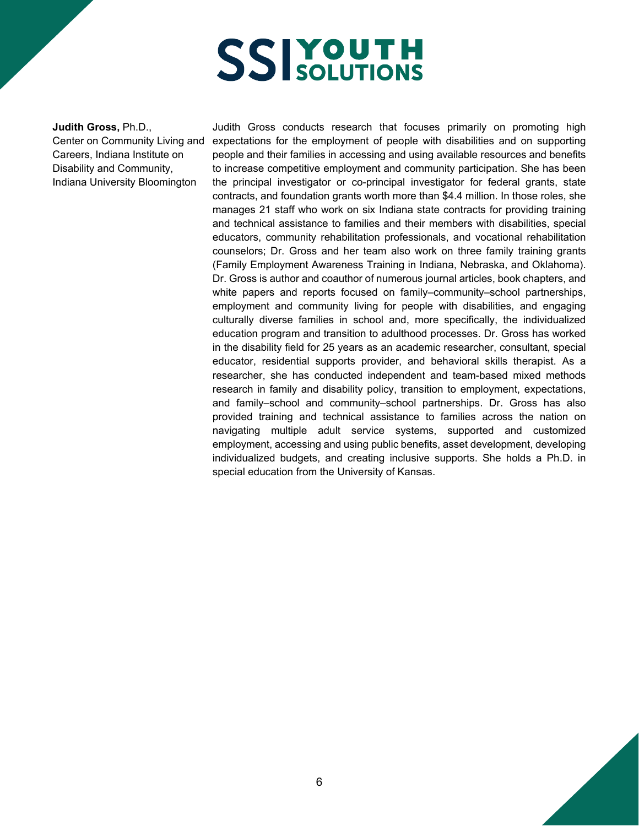**Judith Gross,** Ph.D., Center on Community Living and Careers, Indiana Institute on Disability and Community, Indiana University Bloomington

Judith Gross conducts research that focuses primarily on promoting high expectations for the employment of people with disabilities and on supporting people and their families in accessing and using available resources and benefits to increase competitive employment and community participation. She has been the principal investigator or co-principal investigator for federal grants, state contracts, and foundation grants worth more than \$4.4 million. In those roles, she manages 21 staff who work on six Indiana state contracts for providing training and technical assistance to families and their members with disabilities, special educators, community rehabilitation professionals, and vocational rehabilitation counselors; Dr. Gross and her team also work on three family training grants (Family Employment Awareness Training in Indiana, Nebraska, and Oklahoma). Dr. Gross is author and coauthor of numerous journal articles, book chapters, and white papers and reports focused on family–community–school partnerships, employment and community living for people with disabilities, and engaging culturally diverse families in school and, more specifically, the individualized education program and transition to adulthood processes. Dr. Gross has worked in the disability field for 25 years as an academic researcher, consultant, special educator, residential supports provider, and behavioral skills therapist. As a researcher, she has conducted independent and team-based mixed methods research in family and disability policy, transition to employment, expectations, and family–school and community–school partnerships. Dr. Gross has also provided training and technical assistance to families across the nation on navigating multiple adult service systems, supported and customized employment, accessing and using public benefits, asset development, developing individualized budgets, and creating inclusive supports. She holds a Ph.D. in special education from the University of Kansas.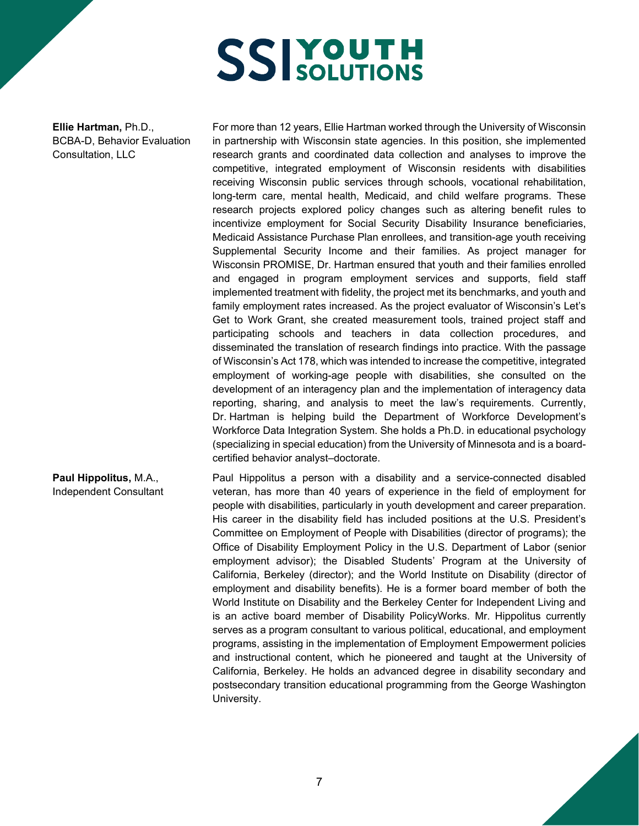**Ellie Hartman,** Ph.D., BCBA-D, Behavior Evaluation Consultation, LLC

For more than 12 years, Ellie Hartman worked through the University of Wisconsin in partnership with Wisconsin state agencies. In this position, she implemented research grants and coordinated data collection and analyses to improve the competitive, integrated employment of Wisconsin residents with disabilities receiving Wisconsin public services through schools, vocational rehabilitation, long-term care, mental health, Medicaid, and child welfare programs. These research projects explored policy changes such as altering benefit rules to incentivize employment for Social Security Disability Insurance beneficiaries, Medicaid Assistance Purchase Plan enrollees, and transition-age youth receiving Supplemental Security Income and their families. As project manager for Wisconsin PROMISE, Dr. Hartman ensured that youth and their families enrolled and engaged in program employment services and supports, field staff implemented treatment with fidelity, the project met its benchmarks, and youth and family employment rates increased. As the project evaluator of Wisconsin's Let's Get to Work Grant, she created measurement tools, trained project staff and participating schools and teachers in data collection procedures, and disseminated the translation of research findings into practice. With the passage of Wisconsin's Act 178, which was intended to increase the competitive, integrated employment of working-age people with disabilities, she consulted on the development of an interagency plan and the implementation of interagency data reporting, sharing, and analysis to meet the law's requirements. Currently, Dr. Hartman is helping build the Department of Workforce Development's Workforce Data Integration System. She holds a Ph.D. in educational psychology (specializing in special education) from the University of Minnesota and is a boardcertified behavior analyst–doctorate.

**Paul Hippolitus,** M.A., Independent Consultant Paul Hippolitus a person with a disability and a service-connected disabled veteran, has more than 40 years of experience in the field of employment for people with disabilities, particularly in youth development and career preparation. His career in the disability field has included positions at the U.S. President's Committee on Employment of People with Disabilities (director of programs); the Office of Disability Employment Policy in the U.S. Department of Labor (senior employment advisor); the Disabled Students' Program at the University of California, Berkeley (director); and the World Institute on Disability (director of employment and disability benefits). He is a former board member of both the World Institute on Disability and the Berkeley Center for Independent Living and is an active board member of Disability PolicyWorks. Mr. Hippolitus currently serves as a program consultant to various political, educational, and employment programs, assisting in the implementation of Employment Empowerment policies and instructional content, which he pioneered and taught at the University of California, Berkeley. He holds an advanced degree in disability secondary and postsecondary transition educational programming from the George Washington University.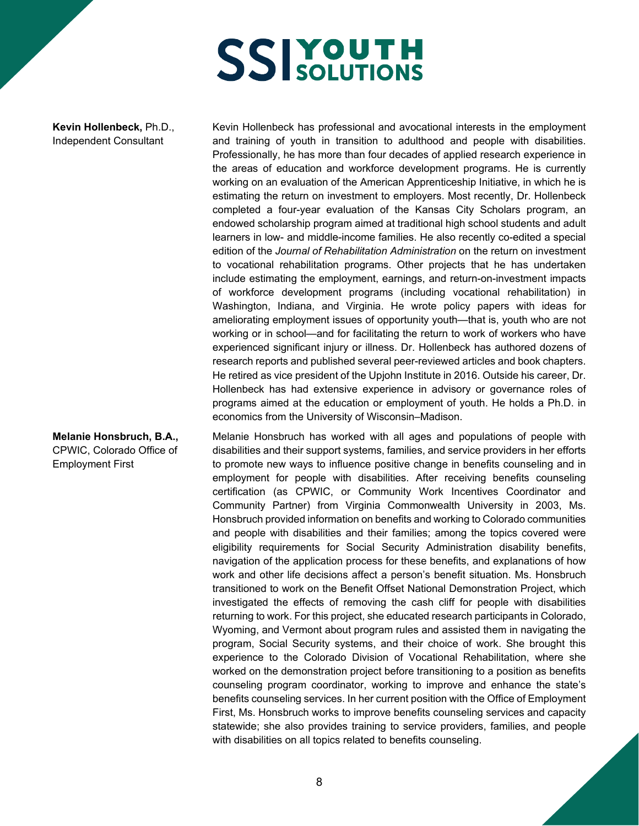**Kevin Hollenbeck,** Ph.D., Independent Consultant

**Melanie Honsbruch, B.A.,**  CPWIC, Colorado Office of Employment First

Kevin Hollenbeck has professional and avocational interests in the employment and training of youth in transition to adulthood and people with disabilities. Professionally, he has more than four decades of applied research experience in the areas of education and workforce development programs. He is currently working on an evaluation of the American Apprenticeship Initiative, in which he is estimating the return on investment to employers. Most recently, Dr. Hollenbeck completed a four-year evaluation of the Kansas City Scholars program, an endowed scholarship program aimed at traditional high school students and adult learners in low- and middle-income families. He also recently co-edited a special edition of the *Journal of Rehabilitation Administration* on the return on investment to vocational rehabilitation programs. Other projects that he has undertaken include estimating the employment, earnings, and return-on-investment impacts of workforce development programs (including vocational rehabilitation) in Washington, Indiana, and Virginia. He wrote policy papers with ideas for ameliorating employment issues of opportunity youth—that is, youth who are not working or in school—and for facilitating the return to work of workers who have experienced significant injury or illness. Dr. Hollenbeck has authored dozens of research reports and published several peer-reviewed articles and book chapters. He retired as vice president of the Upjohn Institute in 2016. Outside his career, Dr. Hollenbeck has had extensive experience in advisory or governance roles of programs aimed at the education or employment of youth. He holds a Ph.D. in economics from the University of Wisconsin–Madison.

Melanie Honsbruch has worked with all ages and populations of people with disabilities and their support systems, families, and service providers in her efforts to promote new ways to influence positive change in benefits counseling and in employment for people with disabilities. After receiving benefits counseling certification (as CPWIC, or Community Work Incentives Coordinator and Community Partner) from Virginia Commonwealth University in 2003, Ms. Honsbruch provided information on benefits and working to Colorado communities and people with disabilities and their families; among the topics covered were eligibility requirements for Social Security Administration disability benefits, navigation of the application process for these benefits, and explanations of how work and other life decisions affect a person's benefit situation. Ms. Honsbruch transitioned to work on the Benefit Offset National Demonstration Project, which investigated the effects of removing the cash cliff for people with disabilities returning to work. For this project, she educated research participants in Colorado, Wyoming, and Vermont about program rules and assisted them in navigating the program, Social Security systems, and their choice of work. She brought this experience to the Colorado Division of Vocational Rehabilitation, where she worked on the demonstration project before transitioning to a position as benefits counseling program coordinator, working to improve and enhance the state's benefits counseling services. In her current position with the Office of Employment First, Ms. Honsbruch works to improve benefits counseling services and capacity statewide; she also provides training to service providers, families, and people with disabilities on all topics related to benefits counseling.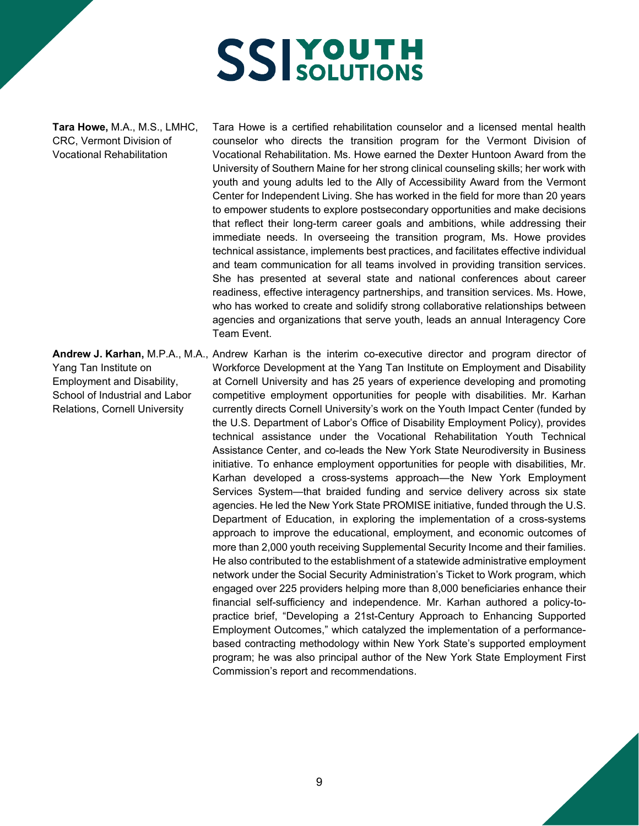**Tara Howe,** M.A., M.S., LMHC, CRC, Vermont Division of Vocational Rehabilitation

Tara Howe is a certified rehabilitation counselor and a licensed mental health counselor who directs the transition program for the Vermont Division of Vocational Rehabilitation. Ms. Howe earned the Dexter Huntoon Award from the University of Southern Maine for her strong clinical counseling skills; her work with youth and young adults led to the Ally of Accessibility Award from the Vermont Center for Independent Living. She has worked in the field for more than 20 years to empower students to explore postsecondary opportunities and make decisions that reflect their long-term career goals and ambitions, while addressing their immediate needs. In overseeing the transition program, Ms. Howe provides technical assistance, implements best practices, and facilitates effective individual and team communication for all teams involved in providing transition services. She has presented at several state and national conferences about career readiness, effective interagency partnerships, and transition services. Ms. Howe, who has worked to create and solidify strong collaborative relationships between agencies and organizations that serve youth, leads an annual Interagency Core Team Event.

**Andrew J. Karhan,** M.P.A., M.A., Andrew Karhan is the interim co-executive director and program director of Yang Tan Institute on Employment and Disability, School of Industrial and Labor Relations, Cornell University Workforce Development at the Yang Tan Institute on Employment and Disability at Cornell University and has 25 years of experience developing and promoting competitive employment opportunities for people with disabilities. Mr. Karhan currently directs Cornell University's work on the Youth Impact Center (funded by the U.S. Department of Labor's Office of Disability Employment Policy), provides technical assistance under the Vocational Rehabilitation Youth Technical Assistance Center, and co-leads the New York State Neurodiversity in Business initiative. To enhance employment opportunities for people with disabilities, Mr. Karhan developed a cross-systems approach—the New York Employment Services System—that braided funding and service delivery across six state agencies. He led the New York State PROMISE initiative, funded through the U.S. Department of Education, in exploring the implementation of a cross-systems approach to improve the educational, employment, and economic outcomes of more than 2,000 youth receiving Supplemental Security Income and their families. He also contributed to the establishment of a statewide administrative employment network under the Social Security Administration's Ticket to Work program, which engaged over 225 providers helping more than 8,000 beneficiaries enhance their financial self-sufficiency and independence. Mr. Karhan authored a policy-topractice brief, "Developing a 21st-Century Approach to Enhancing Supported Employment Outcomes," which catalyzed the implementation of a performancebased contracting methodology within New York State's supported employment program; he was also principal author of the New York State Employment First Commission's report and recommendations.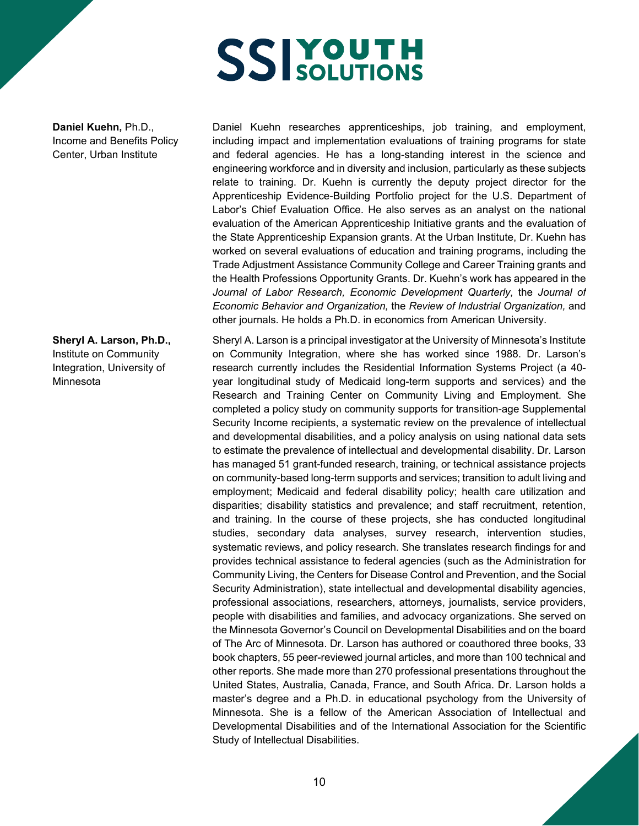**Daniel Kuehn,** Ph.D., Income and Benefits Policy Center, Urban Institute

**Sheryl A. Larson, Ph.D.,**  Institute on Community Integration, University of Minnesota

Daniel Kuehn researches apprenticeships, job training, and employment, including impact and implementation evaluations of training programs for state and federal agencies. He has a long-standing interest in the science and engineering workforce and in diversity and inclusion, particularly as these subjects relate to training. Dr. Kuehn is currently the deputy project director for the Apprenticeship Evidence-Building Portfolio project for the U.S. Department of Labor's Chief Evaluation Office. He also serves as an analyst on the national evaluation of the American Apprenticeship Initiative grants and the evaluation of the State Apprenticeship Expansion grants. At the Urban Institute, Dr. Kuehn has worked on several evaluations of education and training programs, including the Trade Adjustment Assistance Community College and Career Training grants and the Health Professions Opportunity Grants. Dr. Kuehn's work has appeared in the *Journal of Labor Research, Economic Development Quarterly,* the *Journal of Economic Behavior and Organization,* the *Review of Industrial Organization,* and other journals. He holds a Ph.D. in economics from American University.

Sheryl A. Larson is a principal investigator at the University of Minnesota's Institute on Community Integration, where she has worked since 1988. Dr. Larson's research currently includes the Residential Information Systems Project (a 40 year longitudinal study of Medicaid long-term supports and services) and the Research and Training Center on Community Living and Employment. She completed a policy study on community supports for transition-age Supplemental Security Income recipients, a systematic review on the prevalence of intellectual and developmental disabilities, and a policy analysis on using national data sets to estimate the prevalence of intellectual and developmental disability. Dr. Larson has managed 51 grant-funded research, training, or technical assistance projects on community-based long-term supports and services; transition to adult living and employment; Medicaid and federal disability policy; health care utilization and disparities; disability statistics and prevalence; and staff recruitment, retention, and training. In the course of these projects, she has conducted longitudinal studies, secondary data analyses, survey research, intervention studies, systematic reviews, and policy research. She translates research findings for and provides technical assistance to federal agencies (such as the Administration for Community Living, the Centers for Disease Control and Prevention, and the Social Security Administration), state intellectual and developmental disability agencies, professional associations, researchers, attorneys, journalists, service providers, people with disabilities and families, and advocacy organizations. She served on the Minnesota Governor's Council on Developmental Disabilities and on the board of The Arc of Minnesota. Dr. Larson has authored or coauthored three books, 33 book chapters, 55 peer-reviewed journal articles, and more than 100 technical and other reports. She made more than 270 professional presentations throughout the United States, Australia, Canada, France, and South Africa. Dr. Larson holds a master's degree and a Ph.D. in educational psychology from the University of Minnesota. She is a fellow of the American Association of Intellectual and Developmental Disabilities and of the International Association for the Scientific Study of Intellectual Disabilities.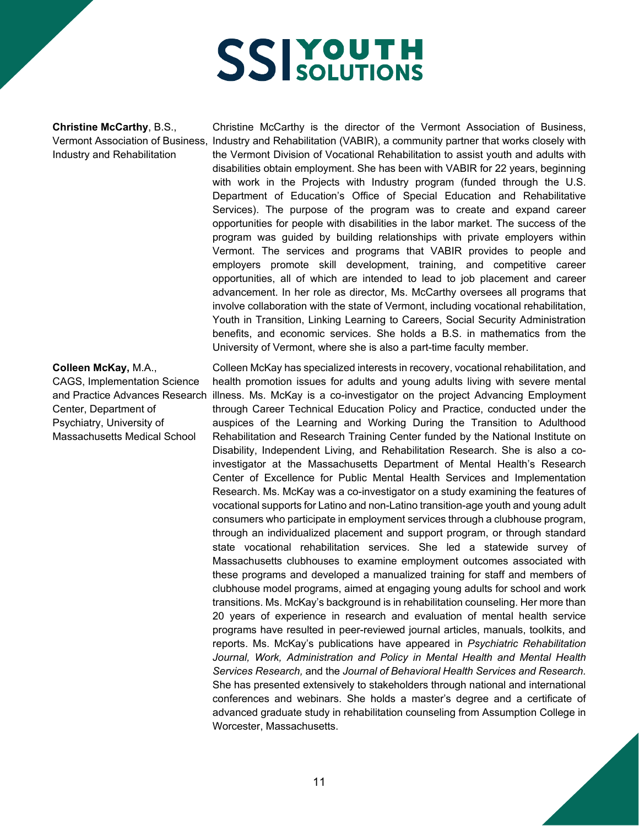**Christine McCarthy**, B.S., Vermont Association of Business, Industry and Rehabilitation

#### **Colleen McKay,** M.A.,

CAGS, Implementation Science and Practice Advances Research Center, Department of Psychiatry, University of Massachusetts Medical School

Christine McCarthy is the director of the Vermont Association of Business, Industry and Rehabilitation (VABIR), a community partner that works closely with the Vermont Division of Vocational Rehabilitation to assist youth and adults with disabilities obtain employment. She has been with VABIR for 22 years, beginning with work in the Projects with Industry program (funded through the U.S. Department of Education's Office of Special Education and Rehabilitative Services). The purpose of the program was to create and expand career opportunities for people with disabilities in the labor market. The success of the program was guided by building relationships with private employers within Vermont. The services and programs that VABIR provides to people and employers promote skill development, training, and competitive career opportunities, all of which are intended to lead to job placement and career advancement. In her role as director, Ms. McCarthy oversees all programs that involve collaboration with the state of Vermont, including vocational rehabilitation, Youth in Transition, Linking Learning to Careers, Social Security Administration benefits, and economic services. She holds a B.S. in mathematics from the University of Vermont, where she is also a part-time faculty member.

Colleen McKay has specialized interests in recovery, vocational rehabilitation, and health promotion issues for adults and young adults living with severe mental illness. Ms. McKay is a co-investigator on the project Advancing Employment through Career Technical Education Policy and Practice, conducted under the auspices of the Learning and Working During the Transition to Adulthood Rehabilitation and Research Training Center funded by the National Institute on Disability, Independent Living, and Rehabilitation Research. She is also a coinvestigator at the Massachusetts Department of Mental Health's Research Center of Excellence for Public Mental Health Services and Implementation Research. Ms. McKay was a co-investigator on a study examining the features of vocational supports for Latino and non-Latino transition-age youth and young adult consumers who participate in employment services through a clubhouse program, through an individualized placement and support program, or through standard state vocational rehabilitation services. She led a statewide survey of Massachusetts clubhouses to examine employment outcomes associated with these programs and developed a manualized training for staff and members of clubhouse model programs, aimed at engaging young adults for school and work transitions. Ms. McKay's background is in rehabilitation counseling. Her more than 20 years of experience in research and evaluation of mental health service programs have resulted in peer-reviewed journal articles, manuals, toolkits, and reports. Ms. McKay's publications have appeared in *Psychiatric Rehabilitation Journal, Work, Administration and Policy in Mental Health and Mental Health Services Research,* and the *Journal of Behavioral Health Services and Research.* She has presented extensively to stakeholders through national and international conferences and webinars. She holds a master's degree and a certificate of advanced graduate study in rehabilitation counseling from Assumption College in Worcester, Massachusetts.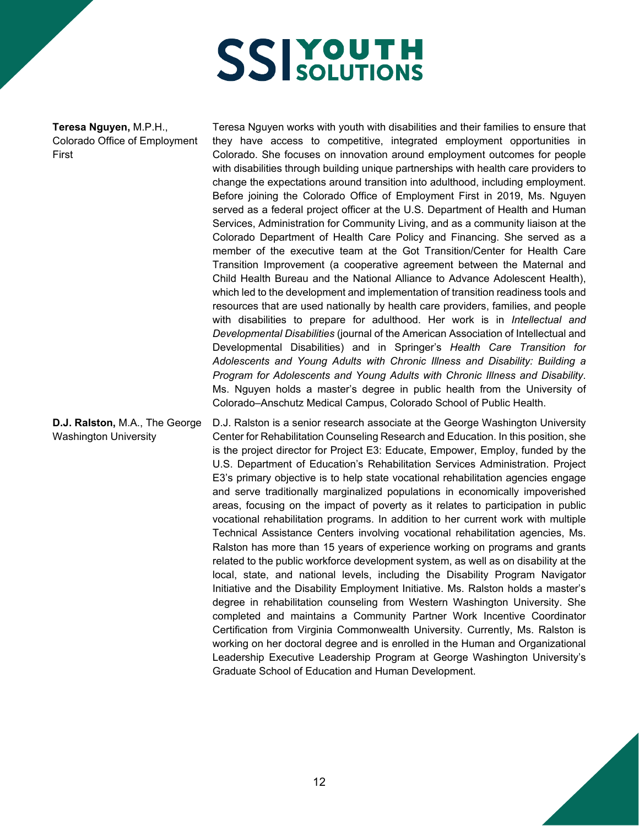**Teresa Nguyen,** M.P.H., Colorado Office of Employment First

Teresa Nguyen works with youth with disabilities and their families to ensure that they have access to competitive, integrated employment opportunities in Colorado. She focuses on innovation around employment outcomes for people with disabilities through building unique partnerships with health care providers to change the expectations around transition into adulthood, including employment. Before joining the Colorado Office of Employment First in 2019, Ms. Nguyen served as a federal project officer at the U.S. Department of Health and Human Services, Administration for Community Living, and as a community liaison at the Colorado Department of Health Care Policy and Financing. She served as a member of the executive team at the Got Transition/Center for Health Care Transition Improvement (a cooperative agreement between the Maternal and Child Health Bureau and the National Alliance to Advance Adolescent Health), which led to the development and implementation of transition readiness tools and resources that are used nationally by health care providers, families, and people with disabilities to prepare for adulthood. Her work is in *Intellectual and Developmental Disabilities* (journal of the American Association of Intellectual and Developmental Disabilities) and in Springer's *Health Care Transition for Adolescents and Young Adults with Chronic Illness and Disability: Building a Program for Adolescents and Young Adults with Chronic Illness and Disability*. Ms. Nguyen holds a master's degree in public health from the University of Colorado–Anschutz Medical Campus, Colorado School of Public Health.

**D.J. Ralston,** M.A., The George Washington University D.J. Ralston is a senior research associate at the George Washington University Center for Rehabilitation Counseling Research and Education. In this position, she is the project director for Project E3: Educate, Empower, Employ, funded by the U.S. Department of Education's Rehabilitation Services Administration. Project E3's primary objective is to help state vocational rehabilitation agencies engage and serve traditionally marginalized populations in economically impoverished areas, focusing on the impact of poverty as it relates to participation in public vocational rehabilitation programs. In addition to her current work with multiple Technical Assistance Centers involving vocational rehabilitation agencies, Ms. Ralston has more than 15 years of experience working on programs and grants related to the public workforce development system, as well as on disability at the local, state, and national levels, including the Disability Program Navigator Initiative and the Disability Employment Initiative. Ms. Ralston holds a master's degree in rehabilitation counseling from Western Washington University. She completed and maintains a Community Partner Work Incentive Coordinator Certification from Virginia Commonwealth University. Currently, Ms. Ralston is working on her doctoral degree and is enrolled in the Human and Organizational Leadership Executive Leadership Program at George Washington University's Graduate School of Education and Human Development.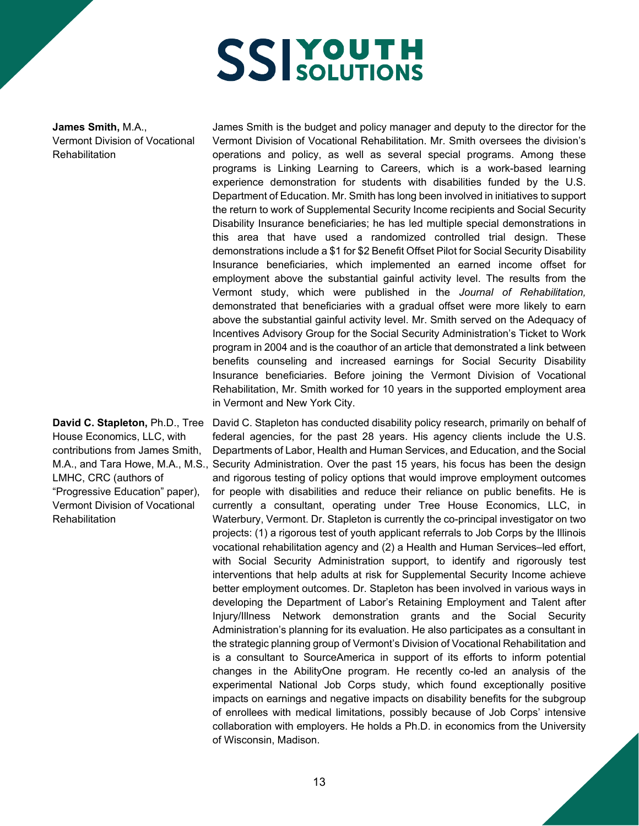**James Smith,** M.A., Vermont Division of Vocational **Rehabilitation** 

**David C. Stapleton,** Ph.D., Tree House Economics, LLC, with contributions from James Smith, LMHC, CRC (authors of "Progressive Education" paper), Vermont Division of Vocational **Rehabilitation** 

James Smith is the budget and policy manager and deputy to the director for the Vermont Division of Vocational Rehabilitation. Mr. Smith oversees the division's operations and policy, as well as several special programs. Among these programs is Linking Learning to Careers, which is a work-based learning experience demonstration for students with disabilities funded by the U.S. Department of Education. Mr. Smith has long been involved in initiatives to support the return to work of Supplemental Security Income recipients and Social Security Disability Insurance beneficiaries; he has led multiple special demonstrations in this area that have used a randomized controlled trial design. These demonstrations include a \$1 for \$2 Benefit Offset Pilot for Social Security Disability Insurance beneficiaries, which implemented an earned income offset for employment above the substantial gainful activity level. The results from the Vermont study, which were published in the *Journal of Rehabilitation,* demonstrated that beneficiaries with a gradual offset were more likely to earn above the substantial gainful activity level. Mr. Smith served on the Adequacy of Incentives Advisory Group for the Social Security Administration's Ticket to Work program in 2004 and is the coauthor of an article that demonstrated a link between benefits counseling and increased earnings for Social Security Disability Insurance beneficiaries. Before joining the Vermont Division of Vocational Rehabilitation, Mr. Smith worked for 10 years in the supported employment area in Vermont and New York City.

M.A., and Tara Howe, M.A., M.S., Security Administration. Over the past 15 years, his focus has been the design David C. Stapleton has conducted disability policy research, primarily on behalf of federal agencies, for the past 28 years. His agency clients include the U.S. Departments of Labor, Health and Human Services, and Education, and the Social and rigorous testing of policy options that would improve employment outcomes for people with disabilities and reduce their reliance on public benefits. He is currently a consultant, operating under Tree House Economics, LLC, in Waterbury, Vermont. Dr. Stapleton is currently the co-principal investigator on two projects: (1) a rigorous test of youth applicant referrals to Job Corps by the Illinois vocational rehabilitation agency and (2) a Health and Human Services–led effort, with Social Security Administration support, to identify and rigorously test interventions that help adults at risk for Supplemental Security Income achieve better employment outcomes. Dr. Stapleton has been involved in various ways in developing the Department of Labor's Retaining Employment and Talent after Injury/Illness Network demonstration grants and the Social Security Administration's planning for its evaluation. He also participates as a consultant in the strategic planning group of Vermont's Division of Vocational Rehabilitation and is a consultant to SourceAmerica in support of its efforts to inform potential changes in the AbilityOne program. He recently co-led an analysis of the experimental National Job Corps study, which found exceptionally positive impacts on earnings and negative impacts on disability benefits for the subgroup of enrollees with medical limitations, possibly because of Job Corps' intensive collaboration with employers. He holds a Ph.D. in economics from the University of Wisconsin, Madison.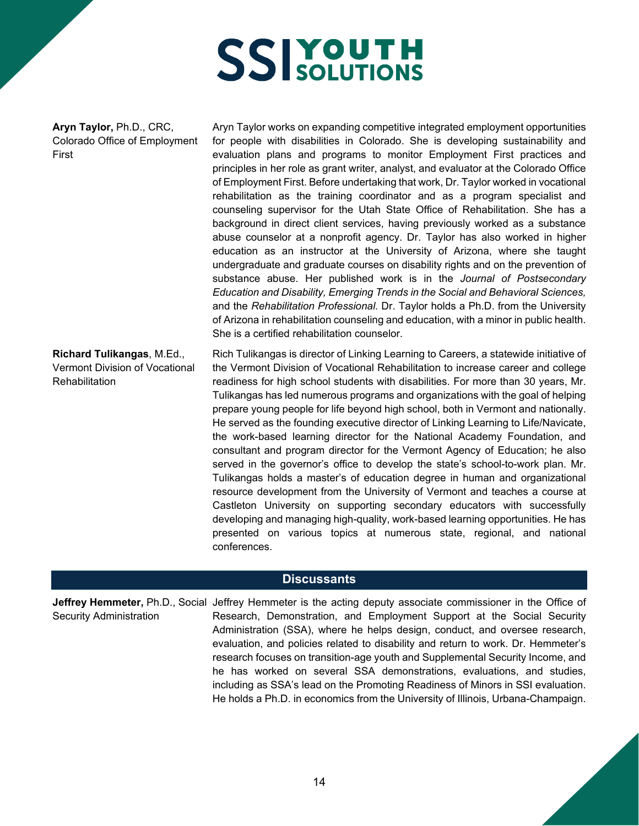**Aryn Taylor,** Ph.D., CRC, Colorado Office of Employment First

Aryn Taylor works on expanding competitive integrated employment opportunities for people with disabilities in Colorado. She is developing sustainability and evaluation plans and programs to monitor Employment First practices and principles in her role as grant writer, analyst, and evaluator at the Colorado Office of Employment First. Before undertaking that work, Dr. Taylor worked in vocational rehabilitation as the training coordinator and as a program specialist and counseling supervisor for the Utah State Office of Rehabilitation. She has a background in direct client services, having previously worked as a substance abuse counselor at a nonprofit agency. Dr. Taylor has also worked in higher education as an instructor at the University of Arizona, where she taught undergraduate and graduate courses on disability rights and on the prevention of substance abuse. Her published work is in the *Journal of Postsecondary Education and Disability, Emerging Trends in the Social and Behavioral Sciences,*  and the *Rehabilitation Professional.* Dr. Taylor holds a Ph.D. from the University of Arizona in rehabilitation counseling and education, with a minor in public health. She is a certified rehabilitation counselor.

**Richard Tulikangas**, M.Ed., Vermont Division of Vocational Rehabilitation

Rich Tulikangas is director of Linking Learning to Careers, a statewide initiative of the Vermont Division of Vocational Rehabilitation to increase career and college readiness for high school students with disabilities. For more than 30 years, Mr. Tulikangas has led numerous programs and organizations with the goal of helping prepare young people for life beyond high school, both in Vermont and nationally. He served as the founding executive director of Linking Learning to Life/Navicate, the work-based learning director for the National Academy Foundation, and consultant and program director for the Vermont Agency of Education; he also served in the governor's office to develop the state's school-to-work plan. Mr. Tulikangas holds a master's of education degree in human and organizational resource development from the University of Vermont and teaches a course at Castleton University on supporting secondary educators with successfully developing and managing high-quality, work-based learning opportunities. He has presented on various topics at numerous state, regional, and national conferences.

#### **Discussants**

**Jeffrey Hemmeter,** Ph.D., Social Jeffrey Hemmeter is the acting deputy associate commissioner in the Office of Security Administration Research, Demonstration, and Employment Support at the Social Security Administration (SSA), where he helps design, conduct, and oversee research, evaluation, and policies related to disability and return to work. Dr. Hemmeter's research focuses on transition-age youth and Supplemental Security Income, and he has worked on several SSA demonstrations, evaluations, and studies, including as SSA's lead on the Promoting Readiness of Minors in SSI evaluation. He holds a Ph.D. in economics from the University of Illinois, Urbana-Champaign.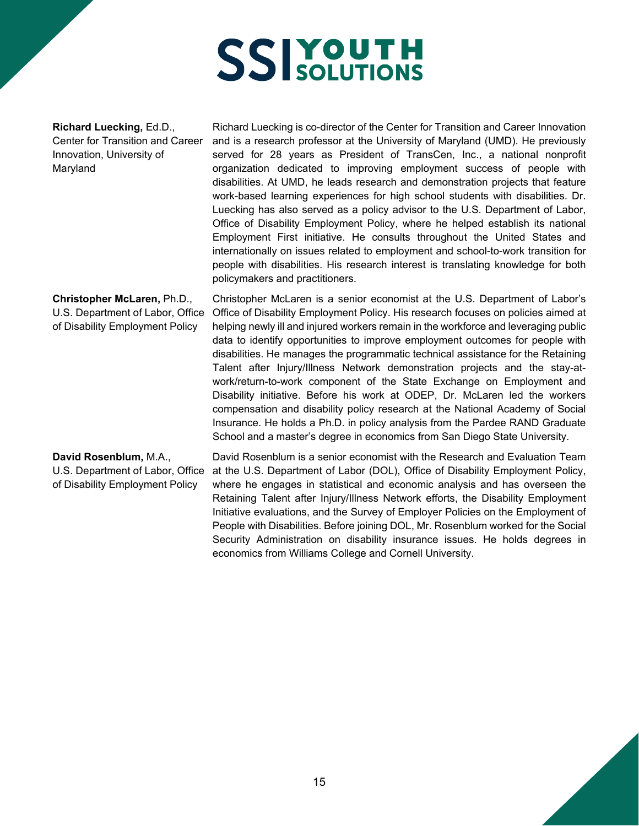**Richard Luecking,** Ed.D., Center for Transition and Career Innovation, University of Maryland

Richard Luecking is co-director of the Center for Transition and Career Innovation and is a research professor at the University of Maryland (UMD). He previously served for 28 years as President of TransCen, Inc., a national nonprofit organization dedicated to improving employment success of people with disabilities. At UMD, he leads research and demonstration projects that feature work-based learning experiences for high school students with disabilities. Dr. Luecking has also served as a policy advisor to the U.S. Department of Labor, Office of Disability Employment Policy, where he helped establish its national Employment First initiative. He consults throughout the United States and internationally on issues related to employment and school-to-work transition for people with disabilities. His research interest is translating knowledge for both policymakers and practitioners.

**Christopher McLaren,** Ph.D., U.S. Department of Labor, Office of Disability Employment Policy Christopher McLaren is a senior economist at the U.S. Department of Labor's Office of Disability Employment Policy. His research focuses on policies aimed at helping newly ill and injured workers remain in the workforce and leveraging public data to identify opportunities to improve employment outcomes for people with disabilities. He manages the programmatic technical assistance for the Retaining Talent after Injury/Illness Network demonstration projects and the stay-atwork/return-to-work component of the State Exchange on Employment and Disability initiative. Before his work at ODEP, Dr. McLaren led the workers compensation and disability policy research at the National Academy of Social Insurance. He holds a Ph.D. in policy analysis from the Pardee RAND Graduate School and a master's degree in economics from San Diego State University.

**David Rosenblum,** M.A., U.S. Department of Labor, Office of Disability Employment Policy

David Rosenblum is a senior economist with the Research and Evaluation Team at the U.S. Department of Labor (DOL), Office of Disability Employment Policy, where he engages in statistical and economic analysis and has overseen the Retaining Talent after Injury/Illness Network efforts, the Disability Employment Initiative evaluations, and the Survey of Employer Policies on the Employment of People with Disabilities. Before joining DOL, Mr. Rosenblum worked for the Social Security Administration on disability insurance issues. He holds degrees in economics from Williams College and Cornell University.

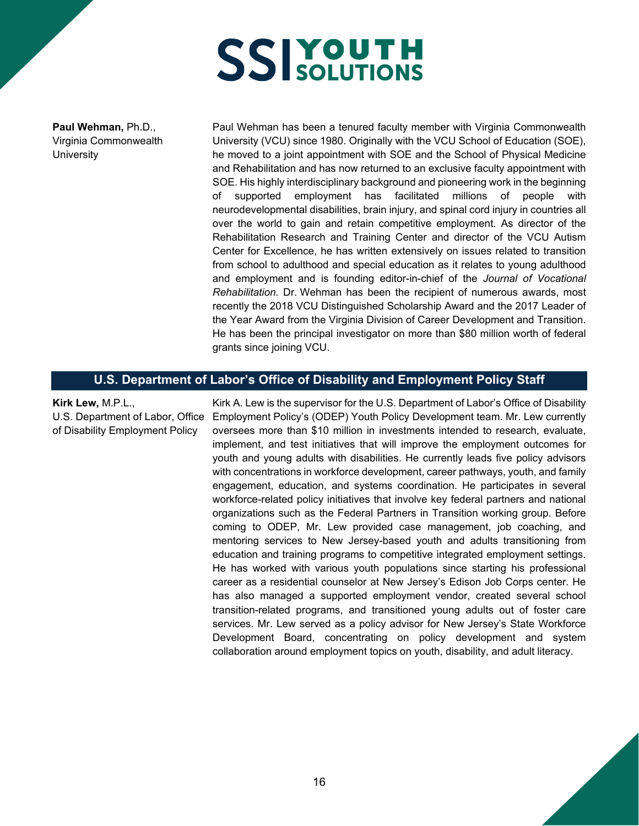**Paul Wehman,** Ph.D., Virginia Commonwealth **University** 

Paul Wehman has been a tenured faculty member with Virginia Commonwealth University (VCU) since 1980. Originally with the VCU School of Education (SOE), he moved to a joint appointment with SOE and the School of Physical Medicine and Rehabilitation and has now returned to an exclusive faculty appointment with SOE. His highly interdisciplinary background and pioneering work in the beginning of supported employment has facilitated millions of people with neurodevelopmental disabilities, brain injury, and spinal cord injury in countries all over the world to gain and retain competitive employment. As director of the Rehabilitation Research and Training Center and director of the VCU Autism Center for Excellence, he has written extensively on issues related to transition from school to adulthood and special education as it relates to young adulthood and employment and is founding editor-in-chief of the *Journal of Vocational Rehabilitation.* Dr. Wehman has been the recipient of numerous awards, most recently the 2018 VCU Distinguished Scholarship Award and the 2017 Leader of the Year Award from the Virginia Division of Career Development and Transition. He has been the principal investigator on more than \$80 million worth of federal grants since joining VCU.

#### **U.S. Department of Labor's Office of Disability and Employment Policy Staff**

#### **Kirk Lew,** M.P.L.,

U.S. Department of Labor, Office of Disability Employment Policy

Kirk A. Lew is the supervisor for the U.S. Department of Labor's Office of Disability Employment Policy's (ODEP) Youth Policy Development team. Mr. Lew currently oversees more than \$10 million in investments intended to research, evaluate, implement, and test initiatives that will improve the employment outcomes for youth and young adults with disabilities. He currently leads five policy advisors with concentrations in workforce development, career pathways, youth, and family engagement, education, and systems coordination. He participates in several workforce-related policy initiatives that involve key federal partners and national organizations such as the Federal Partners in Transition working group. Before coming to ODEP, Mr. Lew provided case management, job coaching, and mentoring services to New Jersey-based youth and adults transitioning from education and training programs to competitive integrated employment settings. He has worked with various youth populations since starting his professional career as a residential counselor at New Jersey's Edison Job Corps center. He has also managed a supported employment vendor, created several school transition-related programs, and transitioned young adults out of foster care services. Mr. Lew served as a policy advisor for New Jersey's State Workforce Development Board, concentrating on policy development and system collaboration around employment topics on youth, disability, and adult literacy.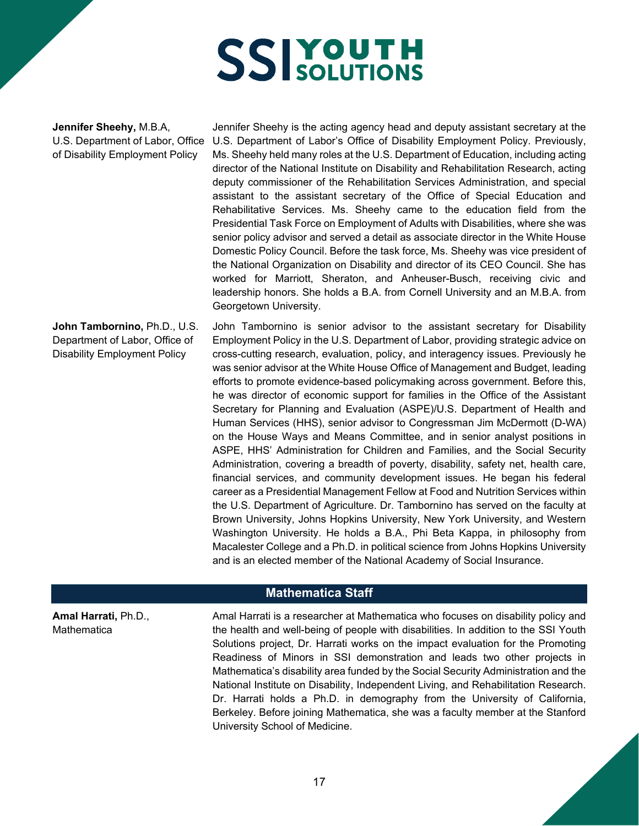**Jennifer Sheehy,** M.B.A, U.S. Department of Labor, Office of Disability Employment Policy

**John Tambornino,** Ph.D., U.S. Department of Labor, Office of Disability Employment Policy

Jennifer Sheehy is the acting agency head and deputy assistant secretary at the U.S. Department of Labor's Office of Disability Employment Policy. Previously, Ms. Sheehy held many roles at the U.S. Department of Education, including acting director of the National Institute on Disability and Rehabilitation Research, acting deputy commissioner of the Rehabilitation Services Administration, and special assistant to the assistant secretary of the Office of Special Education and Rehabilitative Services. Ms. Sheehy came to the education field from the Presidential Task Force on Employment of Adults with Disabilities, where she was senior policy advisor and served a detail as associate director in the White House Domestic Policy Council. Before the task force, Ms. Sheehy was vice president of the National Organization on Disability and director of its CEO Council. She has worked for Marriott, Sheraton, and Anheuser-Busch, receiving civic and leadership honors. She holds a B.A. from Cornell University and an M.B.A. from Georgetown University.

John Tambornino is senior advisor to the assistant secretary for Disability Employment Policy in the U.S. Department of Labor, providing strategic advice on cross-cutting research, evaluation, policy, and interagency issues. Previously he was senior advisor at the White House Office of Management and Budget, leading efforts to promote evidence-based policymaking across government. Before this, he was director of economic support for families in the Office of the Assistant Secretary for Planning and Evaluation (ASPE)/U.S. Department of Health and Human Services (HHS), senior advisor to Congressman Jim McDermott (D-WA) on the House Ways and Means Committee, and in senior analyst positions in ASPE, HHS' Administration for Children and Families, and the Social Security Administration, covering a breadth of poverty, disability, safety net, health care, financial services, and community development issues. He began his federal career as a Presidential Management Fellow at Food and Nutrition Services within the U.S. Department of Agriculture. Dr. Tambornino has served on the faculty at Brown University, Johns Hopkins University, New York University, and Western Washington University. He holds a B.A., Phi Beta Kappa, in philosophy from Macalester College and a Ph.D. in political science from Johns Hopkins University and is an elected member of the National Academy of Social Insurance.

#### **Mathematica Staff**

Amal Harrati is a researcher at Mathematica who focuses on disability policy and the health and well-being of people with disabilities. In addition to the SSI Youth Solutions project, Dr. Harrati works on the impact evaluation for the Promoting Readiness of Minors in SSI demonstration and leads two other projects in Mathematica's disability area funded by the Social Security Administration and the National Institute on Disability, Independent Living, and Rehabilitation Research. Dr. Harrati holds a Ph.D. in demography from the University of California, Berkeley. Before joining Mathematica, she was a faculty member at the Stanford University School of Medicine.

**Amal Harrati,** Ph.D., **Mathematica**